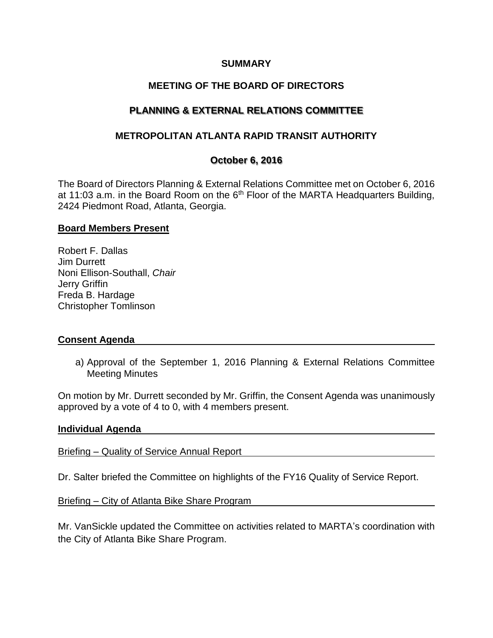## **SUMMARY**

# **MEETING OF THE BOARD OF DIRECTORS**

# **PLANNING & EXTERNAL RELATIONS COMMITTEE**

## **METROPOLITAN ATLANTA RAPID TRANSIT AUTHORITY**

## **October 6, 2016**

The Board of Directors Planning & External Relations Committee met on October 6, 2016 at 11:03 a.m. in the Board Room on the  $6<sup>th</sup>$  Floor of the MARTA Headquarters Building, 2424 Piedmont Road, Atlanta, Georgia.

#### **Board Members Present**

Robert F. Dallas Jim Durrett Noni Ellison-Southall, *Chair*  Jerry Griffin Freda B. Hardage Christopher Tomlinson

#### **Consent Agenda**

a) Approval of the September 1, 2016 Planning & External Relations Committee Meeting Minutes

On motion by Mr. Durrett seconded by Mr. Griffin, the Consent Agenda was unanimously approved by a vote of 4 to 0, with 4 members present.

#### **Individual Agenda**

Briefing – Quality of Service Annual Report

Dr. Salter briefed the Committee on highlights of the FY16 Quality of Service Report.

Briefing – City of Atlanta Bike Share Program

Mr. VanSickle updated the Committee on activities related to MARTA's coordination with the City of Atlanta Bike Share Program.